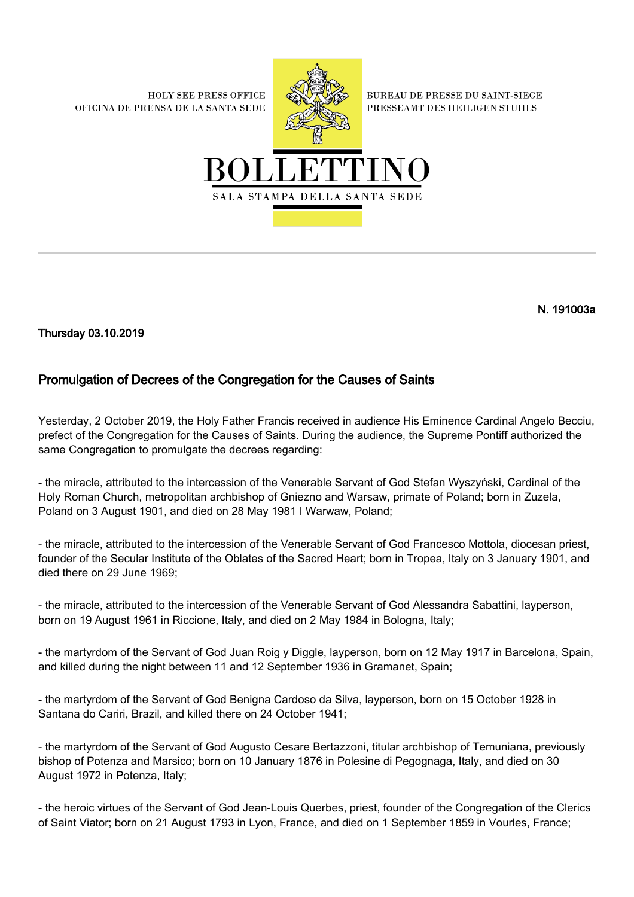**HOLY SEE PRESS OFFICE** OFICINA DE PRENSA DE LA SANTA SEDE



**BUREAU DE PRESSE DU SAINT-SIEGE** PRESSEAMT DES HEILIGEN STUHLS



N. 191003a

Thursday 03.10.2019

## Promulgation of Decrees of the Congregation for the Causes of Saints

Yesterday, 2 October 2019, the Holy Father Francis received in audience His Eminence Cardinal Angelo Becciu, prefect of the Congregation for the Causes of Saints. During the audience, the Supreme Pontiff authorized the same Congregation to promulgate the decrees regarding:

- the miracle, attributed to the intercession of the Venerable Servant of God Stefan Wyszyński, Cardinal of the Holy Roman Church, metropolitan archbishop of Gniezno and Warsaw, primate of Poland; born in Zuzela, Poland on 3 August 1901, and died on 28 May 1981 I Warwaw, Poland;

- the miracle, attributed to the intercession of the Venerable Servant of God Francesco Mottola, diocesan priest, founder of the Secular Institute of the Oblates of the Sacred Heart; born in Tropea, Italy on 3 January 1901, and died there on 29 June 1969;

- the miracle, attributed to the intercession of the Venerable Servant of God Alessandra Sabattini, layperson, born on 19 August 1961 in Riccione, Italy, and died on 2 May 1984 in Bologna, Italy;

- the martyrdom of the Servant of God Juan Roig y Diggle, layperson, born on 12 May 1917 in Barcelona, Spain, and killed during the night between 11 and 12 September 1936 in Gramanet, Spain;

- the martyrdom of the Servant of God Benigna Cardoso da Silva, layperson, born on 15 October 1928 in Santana do Cariri, Brazil, and killed there on 24 October 1941;

- the martyrdom of the Servant of God Augusto Cesare Bertazzoni, titular archbishop of Temuniana, previously bishop of Potenza and Marsico; born on 10 January 1876 in Polesine di Pegognaga, Italy, and died on 30 August 1972 in Potenza, Italy;

- the heroic virtues of the Servant of God Jean-Louis Querbes, priest, founder of the Congregation of the Clerics of Saint Viator; born on 21 August 1793 in Lyon, France, and died on 1 September 1859 in Vourles, France;